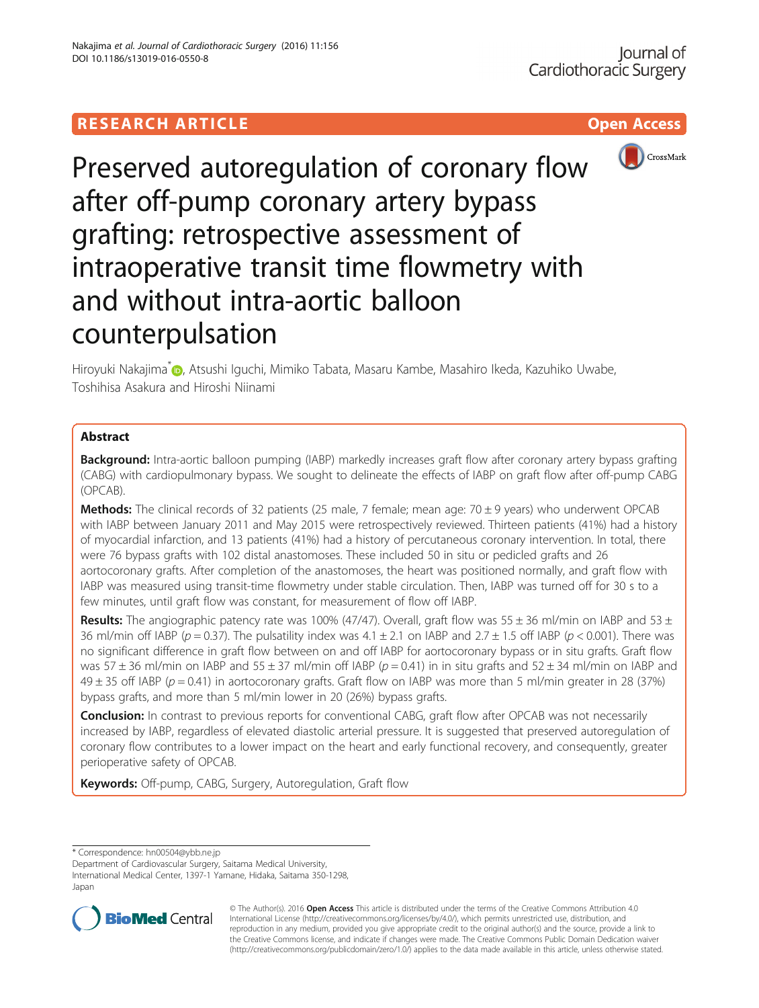# **RESEARCH ARTICLE Example 2018 12:30 THE OPEN ACCESS**



Preserved autoregulation of coronary flow after off-pump coronary artery bypass grafting: retrospective assessment of intraoperative transit time flowmetry with and without intra-aortic balloon counterpulsation

Hiroyuki Nakajima<sup>\*</sup> , Atsushi Iguchi, Mimiko Tabata, Masaru Kambe, Masahiro Ikeda, Kazuhiko Uwabe, Toshihisa Asakura and Hiroshi Niinami

## Abstract

**Background:** Intra-aortic balloon pumping (IABP) markedly increases graft flow after coronary artery bypass grafting (CABG) with cardiopulmonary bypass. We sought to delineate the effects of IABP on graft flow after off-pump CABG (OPCAB).

**Methods:** The clinical records of 32 patients (25 male, 7 female; mean age:  $70 \pm 9$  years) who underwent OPCAB with IABP between January 2011 and May 2015 were retrospectively reviewed. Thirteen patients (41%) had a history of myocardial infarction, and 13 patients (41%) had a history of percutaneous coronary intervention. In total, there were 76 bypass grafts with 102 distal anastomoses. These included 50 in situ or pedicled grafts and 26 aortocoronary grafts. After completion of the anastomoses, the heart was positioned normally, and graft flow with IABP was measured using transit-time flowmetry under stable circulation. Then, IABP was turned off for 30 s to a few minutes, until graft flow was constant, for measurement of flow off IABP.

**Results:** The angiographic patency rate was 100% (47/47). Overall, graft flow was 55  $\pm$  36 ml/min on IABP and 53  $\pm$ 36 ml/min off IABP ( $p = 0.37$ ). The pulsatility index was 4.1 ± 2.1 on IABP and 2.7 ± 1.5 off IABP ( $p < 0.001$ ). There was no significant difference in graft flow between on and off IABP for aortocoronary bypass or in situ grafts. Graft flow was 57  $\pm$  36 ml/min on IABP and 55  $\pm$  37 ml/min off IABP (p = 0.41) in in situ grafts and 52  $\pm$  34 ml/min on IABP and  $49 \pm 35$  off IABP ( $p = 0.41$ ) in aortocoronary grafts. Graft flow on IABP was more than 5 ml/min greater in 28 (37%) bypass grafts, and more than 5 ml/min lower in 20 (26%) bypass grafts.

**Conclusion:** In contrast to previous reports for conventional CABG, graft flow after OPCAB was not necessarily increased by IABP, regardless of elevated diastolic arterial pressure. It is suggested that preserved autoregulation of coronary flow contributes to a lower impact on the heart and early functional recovery, and consequently, greater perioperative safety of OPCAB.

Keywords: Off-pump, CABG, Surgery, Autoregulation, Graft flow

\* Correspondence: [hn00504@ybb.ne.jp](mailto:hn00504@ybb.ne.jp)

Department of Cardiovascular Surgery, Saitama Medical University,

International Medical Center, 1397-1 Yamane, Hidaka, Saitama 350-1298, Japan



© The Author(s). 2016 Open Access This article is distributed under the terms of the Creative Commons Attribution 4.0 International License [\(http://creativecommons.org/licenses/by/4.0/](http://creativecommons.org/licenses/by/4.0/)), which permits unrestricted use, distribution, and reproduction in any medium, provided you give appropriate credit to the original author(s) and the source, provide a link to the Creative Commons license, and indicate if changes were made. The Creative Commons Public Domain Dedication waiver [\(http://creativecommons.org/publicdomain/zero/1.0/](http://creativecommons.org/publicdomain/zero/1.0/)) applies to the data made available in this article, unless otherwise stated.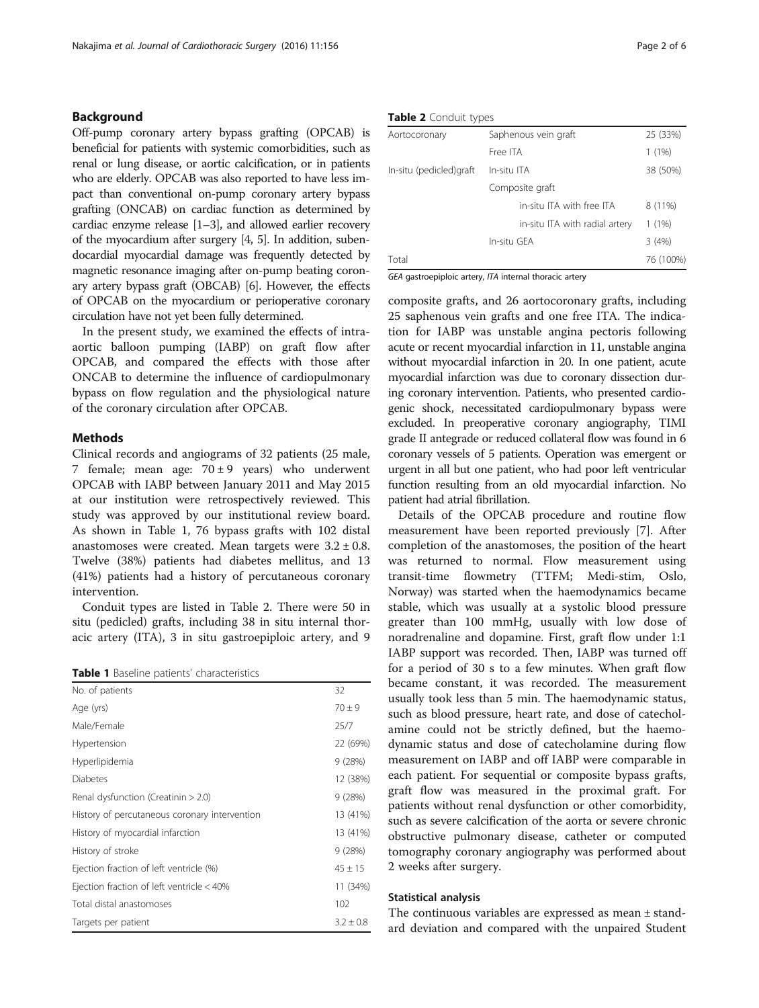## Background

Off-pump coronary artery bypass grafting (OPCAB) is beneficial for patients with systemic comorbidities, such as renal or lung disease, or aortic calcification, or in patients who are elderly. OPCAB was also reported to have less impact than conventional on-pump coronary artery bypass grafting (ONCAB) on cardiac function as determined by cardiac enzyme release [\[1](#page-5-0)–[3\]](#page-5-0), and allowed earlier recovery of the myocardium after surgery [\[4, 5\]](#page-5-0). In addition, subendocardial myocardial damage was frequently detected by magnetic resonance imaging after on-pump beating coronary artery bypass graft (OBCAB) [\[6](#page-5-0)]. However, the effects of OPCAB on the myocardium or perioperative coronary circulation have not yet been fully determined.

In the present study, we examined the effects of intraaortic balloon pumping (IABP) on graft flow after OPCAB, and compared the effects with those after ONCAB to determine the influence of cardiopulmonary bypass on flow regulation and the physiological nature of the coronary circulation after OPCAB.

## **Methods**

Clinical records and angiograms of 32 patients (25 male, 7 female; mean age:  $70 \pm 9$  years) who underwent OPCAB with IABP between January 2011 and May 2015 at our institution were retrospectively reviewed. This study was approved by our institutional review board. As shown in Table 1, 76 bypass grafts with 102 distal anastomoses were created. Mean targets were  $3.2 \pm 0.8$ . Twelve (38%) patients had diabetes mellitus, and 13 (41%) patients had a history of percutaneous coronary intervention.

Conduit types are listed in Table 2. There were 50 in situ (pedicled) grafts, including 38 in situ internal thoracic artery (ITA), 3 in situ gastroepiploic artery, and 9

|  |  |  | Table 1 Baseline patients' characteristics |
|--|--|--|--------------------------------------------|
|--|--|--|--------------------------------------------|

| No. of patients                               | 32            |
|-----------------------------------------------|---------------|
| Age (yrs)                                     | $70 + 9$      |
| Male/Female                                   | 25/7          |
| Hypertension                                  | 22 (69%)      |
| Hyperlipidemia                                | 9(28%)        |
| Diabetes                                      | 12 (38%)      |
| Renal dysfunction (Creatinin $> 2.0$ )        | 9(28%)        |
| History of percutaneous coronary intervention | 13 (41%)      |
| History of myocardial infarction              | 13 (41%)      |
| History of stroke                             | 9(28%)        |
| Ejection fraction of left ventricle (%)       | $45 \pm 15$   |
| Ejection fraction of left ventricle $<$ 40%   | 11 (34%)      |
| Total distal anastomoses                      | 102           |
| Targets per patient                           | $3.2 \pm 0.8$ |
|                                               |               |

|  |  | Table 2 Conduit types |  |
|--|--|-----------------------|--|
|--|--|-----------------------|--|

| Aortocoronary           | Saphenous vein graft           | 25 (33%)  |
|-------------------------|--------------------------------|-----------|
|                         | Free ITA                       | $1(1\%)$  |
| In-situ (pedicled)graft | In-situ ITA                    | 38 (50%)  |
|                         | Composite graft                |           |
|                         | in-situ ITA with free ITA      | 8 (11%)   |
|                         | in-situ ITA with radial artery | $1(1\%)$  |
|                         | In-situ GFA                    | 3(4%)     |
| Total                   |                                | 76 (100%) |

GEA gastroepiploic artery, ITA internal thoracic artery

composite grafts, and 26 aortocoronary grafts, including 25 saphenous vein grafts and one free ITA. The indication for IABP was unstable angina pectoris following acute or recent myocardial infarction in 11, unstable angina without myocardial infarction in 20. In one patient, acute myocardial infarction was due to coronary dissection during coronary intervention. Patients, who presented cardiogenic shock, necessitated cardiopulmonary bypass were excluded. In preoperative coronary angiography, TIMI grade II antegrade or reduced collateral flow was found in 6 coronary vessels of 5 patients. Operation was emergent or urgent in all but one patient, who had poor left ventricular function resulting from an old myocardial infarction. No patient had atrial fibrillation.

Details of the OPCAB procedure and routine flow measurement have been reported previously [\[7](#page-5-0)]. After completion of the anastomoses, the position of the heart was returned to normal. Flow measurement using transit-time flowmetry (TTFM; Medi-stim, Oslo, Norway) was started when the haemodynamics became stable, which was usually at a systolic blood pressure greater than 100 mmHg, usually with low dose of noradrenaline and dopamine. First, graft flow under 1:1 IABP support was recorded. Then, IABP was turned off for a period of 30 s to a few minutes. When graft flow became constant, it was recorded. The measurement usually took less than 5 min. The haemodynamic status, such as blood pressure, heart rate, and dose of catecholamine could not be strictly defined, but the haemodynamic status and dose of catecholamine during flow measurement on IABP and off IABP were comparable in each patient. For sequential or composite bypass grafts, graft flow was measured in the proximal graft. For patients without renal dysfunction or other comorbidity, such as severe calcification of the aorta or severe chronic obstructive pulmonary disease, catheter or computed tomography coronary angiography was performed about 2 weeks after surgery.

## Statistical analysis

The continuous variables are expressed as mean ± standard deviation and compared with the unpaired Student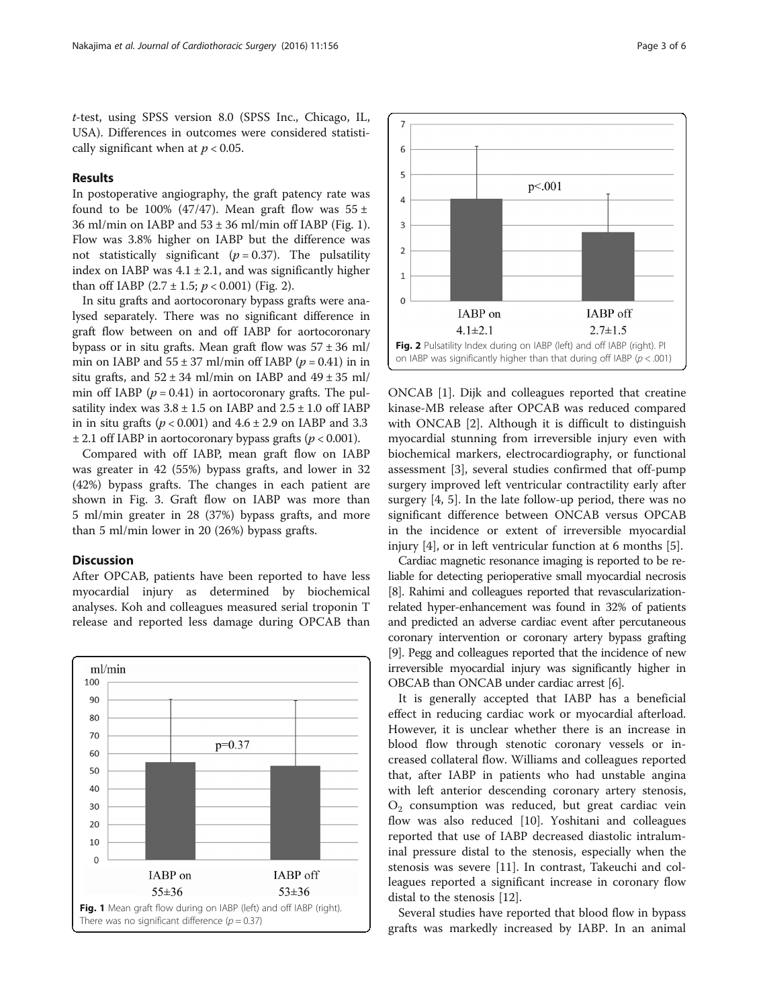t-test, using SPSS version 8.0 (SPSS Inc., Chicago, IL, USA). Differences in outcomes were considered statistically significant when at  $p < 0.05$ .

## Results

In postoperative angiography, the graft patency rate was found to be 100% (47/47). Mean graft flow was  $55 \pm$ 36 ml/min on IABP and  $53 \pm 36$  ml/min off IABP (Fig. 1). Flow was 3.8% higher on IABP but the difference was not statistically significant ( $p = 0.37$ ). The pulsatility index on IABP was  $4.1 \pm 2.1$ , and was significantly higher than off IABP  $(2.7 \pm 1.5; p < 0.001)$  (Fig. 2).

In situ grafts and aortocoronary bypass grafts were analysed separately. There was no significant difference in graft flow between on and off IABP for aortocoronary bypass or in situ grafts. Mean graft flow was  $57 \pm 36$  ml/ min on IABP and  $55 \pm 37$  ml/min off IABP ( $p = 0.41$ ) in in situ grafts, and  $52 \pm 34$  ml/min on IABP and  $49 \pm 35$  ml/ min off IABP ( $p = 0.41$ ) in aortocoronary grafts. The pulsatility index was  $3.8 \pm 1.5$  on IABP and  $2.5 \pm 1.0$  off IABP in in situ grafts ( $p < 0.001$ ) and  $4.6 \pm 2.9$  on IABP and 3.3  $\pm$  2.1 off IABP in aortocoronary bypass grafts ( $p < 0.001$ ).

Compared with off IABP, mean graft flow on IABP was greater in 42 (55%) bypass grafts, and lower in 32 (42%) bypass grafts. The changes in each patient are shown in Fig. [3](#page-3-0). Graft flow on IABP was more than 5 ml/min greater in 28 (37%) bypass grafts, and more than 5 ml/min lower in 20 (26%) bypass grafts.

### **Discussion**

After OPCAB, patients have been reported to have less myocardial injury as determined by biochemical analyses. Koh and colleagues measured serial troponin T release and reported less damage during OPCAB than





ONCAB [[1\]](#page-5-0). Dijk and colleagues reported that creatine kinase-MB release after OPCAB was reduced compared with ONCAB [[2\]](#page-5-0). Although it is difficult to distinguish myocardial stunning from irreversible injury even with biochemical markers, electrocardiography, or functional assessment [[3\]](#page-5-0), several studies confirmed that off-pump surgery improved left ventricular contractility early after surgery [\[4](#page-5-0), [5](#page-5-0)]. In the late follow-up period, there was no significant difference between ONCAB versus OPCAB in the incidence or extent of irreversible myocardial injury [[4\]](#page-5-0), or in left ventricular function at 6 months [\[5\]](#page-5-0).

Cardiac magnetic resonance imaging is reported to be reliable for detecting perioperative small myocardial necrosis [[8](#page-5-0)]. Rahimi and colleagues reported that revascularizationrelated hyper-enhancement was found in 32% of patients and predicted an adverse cardiac event after percutaneous coronary intervention or coronary artery bypass grafting [[9](#page-5-0)]. Pegg and colleagues reported that the incidence of new irreversible myocardial injury was significantly higher in OBCAB than ONCAB under cardiac arrest [\[6\]](#page-5-0).

It is generally accepted that IABP has a beneficial effect in reducing cardiac work or myocardial afterload. However, it is unclear whether there is an increase in blood flow through stenotic coronary vessels or increased collateral flow. Williams and colleagues reported that, after IABP in patients who had unstable angina with left anterior descending coronary artery stenosis,  $O<sub>2</sub>$  consumption was reduced, but great cardiac vein flow was also reduced [\[10](#page-5-0)]. Yoshitani and colleagues reported that use of IABP decreased diastolic intraluminal pressure distal to the stenosis, especially when the stenosis was severe [\[11](#page-5-0)]. In contrast, Takeuchi and colleagues reported a significant increase in coronary flow distal to the stenosis [[12](#page-5-0)].

Several studies have reported that blood flow in bypass grafts was markedly increased by IABP. In an animal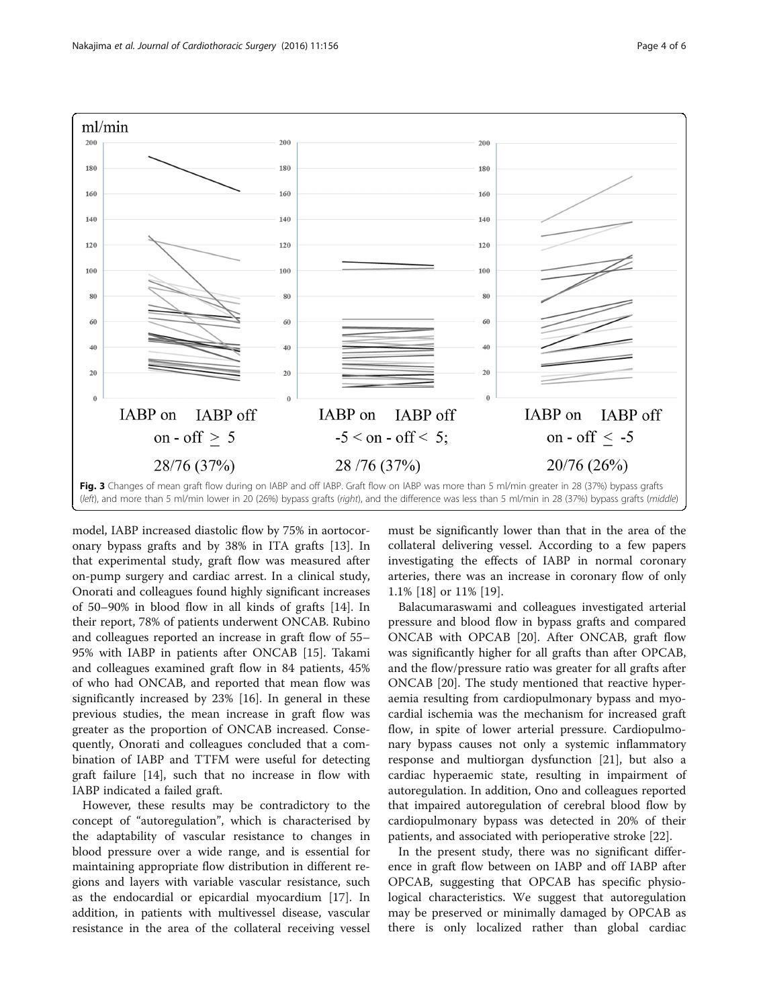<span id="page-3-0"></span>

model, IABP increased diastolic flow by 75% in aortocoronary bypass grafts and by 38% in ITA grafts [\[13\]](#page-5-0). In that experimental study, graft flow was measured after on-pump surgery and cardiac arrest. In a clinical study, Onorati and colleagues found highly significant increases of 50–90% in blood flow in all kinds of grafts [\[14](#page-5-0)]. In their report, 78% of patients underwent ONCAB. Rubino and colleagues reported an increase in graft flow of 55– 95% with IABP in patients after ONCAB [[15\]](#page-5-0). Takami and colleagues examined graft flow in 84 patients, 45% of who had ONCAB, and reported that mean flow was significantly increased by 23% [[16](#page-5-0)]. In general in these previous studies, the mean increase in graft flow was greater as the proportion of ONCAB increased. Consequently, Onorati and colleagues concluded that a combination of IABP and TTFM were useful for detecting graft failure [\[14](#page-5-0)], such that no increase in flow with IABP indicated a failed graft.

However, these results may be contradictory to the concept of "autoregulation", which is characterised by the adaptability of vascular resistance to changes in blood pressure over a wide range, and is essential for maintaining appropriate flow distribution in different regions and layers with variable vascular resistance, such as the endocardial or epicardial myocardium [\[17\]](#page-5-0). In addition, in patients with multivessel disease, vascular resistance in the area of the collateral receiving vessel must be significantly lower than that in the area of the collateral delivering vessel. According to a few papers investigating the effects of IABP in normal coronary arteries, there was an increase in coronary flow of only 1.1% [[18](#page-5-0)] or 11% [\[19\]](#page-5-0).

Balacumaraswami and colleagues investigated arterial pressure and blood flow in bypass grafts and compared ONCAB with OPCAB [[20\]](#page-5-0). After ONCAB, graft flow was significantly higher for all grafts than after OPCAB, and the flow/pressure ratio was greater for all grafts after ONCAB [\[20](#page-5-0)]. The study mentioned that reactive hyperaemia resulting from cardiopulmonary bypass and myocardial ischemia was the mechanism for increased graft flow, in spite of lower arterial pressure. Cardiopulmonary bypass causes not only a systemic inflammatory response and multiorgan dysfunction [\[21](#page-5-0)], but also a cardiac hyperaemic state, resulting in impairment of autoregulation. In addition, Ono and colleagues reported that impaired autoregulation of cerebral blood flow by cardiopulmonary bypass was detected in 20% of their patients, and associated with perioperative stroke [[22](#page-5-0)].

In the present study, there was no significant difference in graft flow between on IABP and off IABP after OPCAB, suggesting that OPCAB has specific physiological characteristics. We suggest that autoregulation may be preserved or minimally damaged by OPCAB as there is only localized rather than global cardiac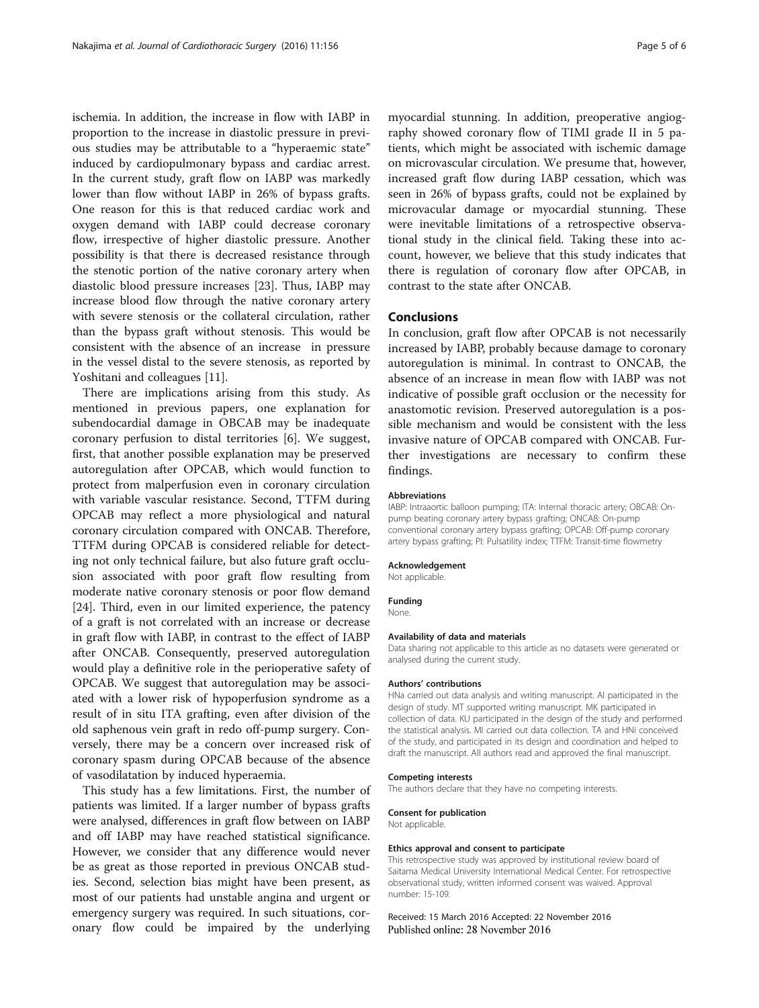ischemia. In addition, the increase in flow with IABP in proportion to the increase in diastolic pressure in previous studies may be attributable to a "hyperaemic state" induced by cardiopulmonary bypass and cardiac arrest. In the current study, graft flow on IABP was markedly lower than flow without IABP in 26% of bypass grafts. One reason for this is that reduced cardiac work and oxygen demand with IABP could decrease coronary flow, irrespective of higher diastolic pressure. Another possibility is that there is decreased resistance through the stenotic portion of the native coronary artery when diastolic blood pressure increases [[23](#page-5-0)]. Thus, IABP may increase blood flow through the native coronary artery with severe stenosis or the collateral circulation, rather than the bypass graft without stenosis. This would be consistent with the absence of an increase in pressure in the vessel distal to the severe stenosis, as reported by Yoshitani and colleagues [[11\]](#page-5-0).

There are implications arising from this study. As mentioned in previous papers, one explanation for subendocardial damage in OBCAB may be inadequate coronary perfusion to distal territories [[6](#page-5-0)]. We suggest, first, that another possible explanation may be preserved autoregulation after OPCAB, which would function to protect from malperfusion even in coronary circulation with variable vascular resistance. Second, TTFM during OPCAB may reflect a more physiological and natural coronary circulation compared with ONCAB. Therefore, TTFM during OPCAB is considered reliable for detecting not only technical failure, but also future graft occlusion associated with poor graft flow resulting from moderate native coronary stenosis or poor flow demand [[24\]](#page-5-0). Third, even in our limited experience, the patency of a graft is not correlated with an increase or decrease in graft flow with IABP, in contrast to the effect of IABP after ONCAB. Consequently, preserved autoregulation would play a definitive role in the perioperative safety of OPCAB. We suggest that autoregulation may be associated with a lower risk of hypoperfusion syndrome as a result of in situ ITA grafting, even after division of the old saphenous vein graft in redo off-pump surgery. Conversely, there may be a concern over increased risk of coronary spasm during OPCAB because of the absence of vasodilatation by induced hyperaemia.

This study has a few limitations. First, the number of patients was limited. If a larger number of bypass grafts were analysed, differences in graft flow between on IABP and off IABP may have reached statistical significance. However, we consider that any difference would never be as great as those reported in previous ONCAB studies. Second, selection bias might have been present, as most of our patients had unstable angina and urgent or emergency surgery was required. In such situations, coronary flow could be impaired by the underlying myocardial stunning. In addition, preoperative angiography showed coronary flow of TIMI grade II in 5 patients, which might be associated with ischemic damage on microvascular circulation. We presume that, however, increased graft flow during IABP cessation, which was seen in 26% of bypass grafts, could not be explained by microvacular damage or myocardial stunning. These were inevitable limitations of a retrospective observational study in the clinical field. Taking these into account, however, we believe that this study indicates that there is regulation of coronary flow after OPCAB, in contrast to the state after ONCAB.

## **Conclusions**

In conclusion, graft flow after OPCAB is not necessarily increased by IABP, probably because damage to coronary autoregulation is minimal. In contrast to ONCAB, the absence of an increase in mean flow with IABP was not indicative of possible graft occlusion or the necessity for anastomotic revision. Preserved autoregulation is a possible mechanism and would be consistent with the less invasive nature of OPCAB compared with ONCAB. Further investigations are necessary to confirm these findings.

#### Abbreviations

IABP: Intraaortic balloon pumping; ITA: Internal thoracic artery; OBCAB: Onpump beating coronary artery bypass grafting; ONCAB: On-pump conventional coronary artery bypass grafting; OPCAB: Off-pump coronary artery bypass grafting; PI: Pulsatility index; TTFM: Transit-time flowmetry

#### Acknowledgement

Not applicable.

#### Funding

None.

#### Availability of data and materials

Data sharing not applicable to this article as no datasets were generated or analysed during the current study.

#### Authors' contributions

HNa carried out data analysis and writing manuscript. AI participated in the design of study. MT supported writing manuscript. MK participated in collection of data. KU participated in the design of the study and performed the statistical analysis. MI carried out data collection. TA and HNi conceived of the study, and participated in its design and coordination and helped to draft the manuscript. All authors read and approved the final manuscript.

#### Competing interests

The authors declare that they have no competing interests.

#### Consent for publication

Not applicable.

#### Ethics approval and consent to participate

This retrospective study was approved by institutional review board of Saitama Medical University International Medical Center. For retrospective observational study, written informed consent was waived. Approval number: 15-109.

### Received: 15 March 2016 Accepted: 22 November 2016 Published online: 28 November 2016